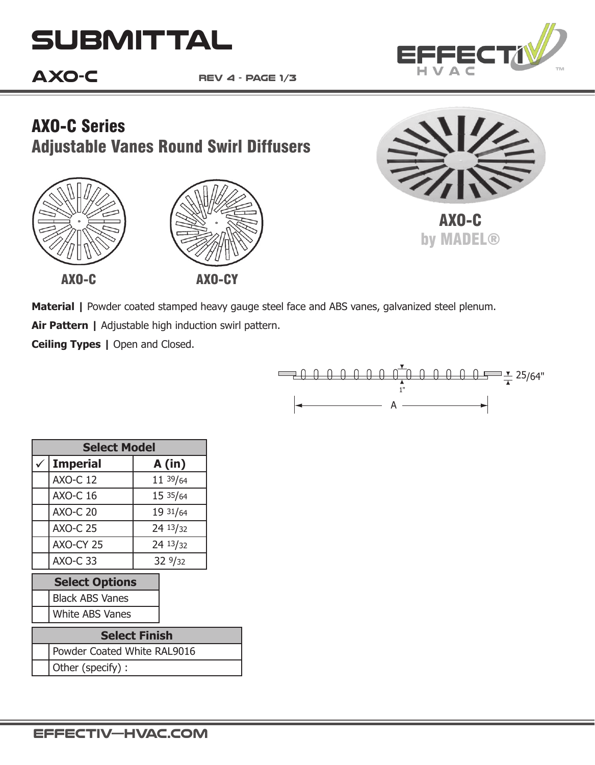# **Submittal**

## **AXO-C**

**rev 4 - page 1/3**







FFEC

AXO-C by MADEL®

Material | Powder coated stamped heavy gauge steel face and ABS vanes, galvanized steel plenum.

**Air Pattern |** Adjustable high induction swirl pattern.

**Ceiling Types | Open and Closed.** 



| <b>Select Model</b>   |                          |          |  |  |  |  |
|-----------------------|--------------------------|----------|--|--|--|--|
|                       | <b>Imperial</b><br>A(in) |          |  |  |  |  |
|                       | <b>AXO-C 12</b>          | 11 39/64 |  |  |  |  |
|                       | <b>AXO-C 16</b>          | 15 35/64 |  |  |  |  |
|                       | <b>AXO-C 20</b>          | 19 31/64 |  |  |  |  |
|                       | <b>AXO-C 25</b>          | 24 13/32 |  |  |  |  |
|                       | AXO-CY 25                | 24 13/32 |  |  |  |  |
|                       | <b>AXO-C 33</b>          | 329/32   |  |  |  |  |
| <b>Select Options</b> |                          |          |  |  |  |  |

Black ABS Vanes

White ABS Vanes

| <b>Select Finish</b> |                             |  |  |  |  |
|----------------------|-----------------------------|--|--|--|--|
|                      | Powder Coated White RAL9016 |  |  |  |  |
|                      | Other (specify) :           |  |  |  |  |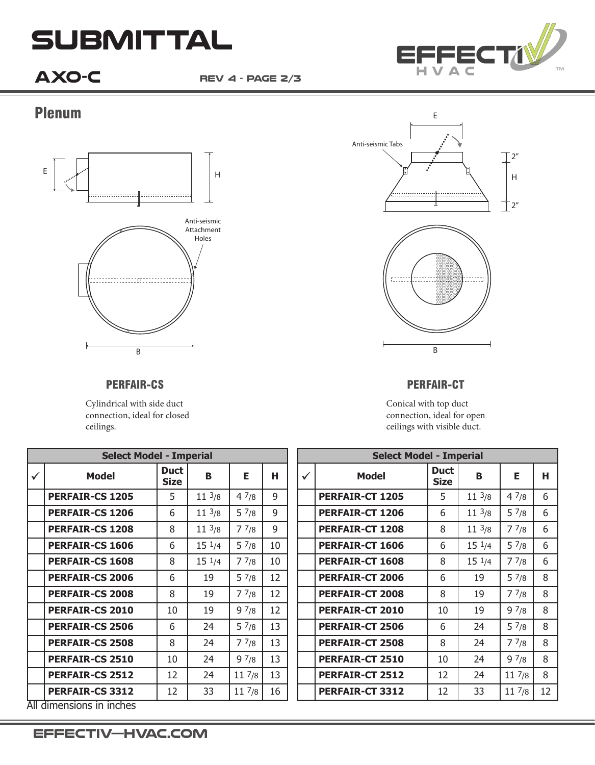# **Submittal**

**AXO-C rev 4 - page 2/3**



#### Plenum



PERFAIR-CS

Cylindrical with side duct connection, ideal for closed ceilings.



#### PERFAIR-CT

Conical with top duct connection, ideal for open ceilings with visible duct.

| <b>Select Model - Imperial</b> |                          |                            |                  |                 |    | <b>Select Model - Imperial</b> |                        |                            |                  |                 |    |
|--------------------------------|--------------------------|----------------------------|------------------|-----------------|----|--------------------------------|------------------------|----------------------------|------------------|-----------------|----|
| $\checkmark$                   | <b>Model</b>             | <b>Duct</b><br><b>Size</b> | B                | Е               | н  | $\checkmark$                   | <b>Model</b>           | <b>Duct</b><br><b>Size</b> | в                | Е               | н  |
|                                | <b>PERFAIR-CS 1205</b>   | 5                          | $11^{3/8}$       | 47/8            | 9  |                                | <b>PERFAIR-CT 1205</b> | 5                          | $11 \frac{3}{8}$ | 47/8            | 6  |
|                                | <b>PERFAIR-CS 1206</b>   | 6                          | $11^{3/8}$       | 57/8            | 9  |                                | <b>PERFAIR-CT 1206</b> | 6                          | $11 \frac{3}{8}$ | 57/8            | 6  |
|                                | <b>PERFAIR-CS 1208</b>   | 8                          | $11^{3/8}$       | 77/8            | 9  |                                | <b>PERFAIR-CT 1208</b> | 8                          | $11^{3/8}$       | 77/8            | 6  |
|                                | <b>PERFAIR-CS 1606</b>   | 6                          | $15 \frac{1}{4}$ | $5\frac{7}{8}$  | 10 |                                | <b>PERFAIR-CT 1606</b> | 6                          | $15 \frac{1}{4}$ | $5\frac{7}{8}$  | 6  |
|                                | <b>PERFAIR-CS 1608</b>   | 8                          | $15 \frac{1}{4}$ | 77/8            | 10 |                                | PERFAIR-CT 1608        | 8                          | $15 \frac{1}{4}$ | 77/8            | 6  |
|                                | <b>PERFAIR-CS 2006</b>   | 6                          | 19               | 57/8            | 12 |                                | <b>PERFAIR-CT 2006</b> | 6                          | 19               | 57/8            | 8  |
|                                | <b>PERFAIR-CS 2008</b>   | 8                          | 19               | 77/8            | 12 |                                | <b>PERFAIR-CT 2008</b> | 8                          | 19               | 77/8            | 8  |
|                                | <b>PERFAIR-CS 2010</b>   | 10                         | 19               | 97/8            | 12 |                                | <b>PERFAIR-CT 2010</b> | 10                         | 19               | 97/8            | 8  |
|                                | <b>PERFAIR-CS 2506</b>   | 6                          | 24               | 57/8            | 13 |                                | <b>PERFAIR-CT 2506</b> | 6                          | 24               | 57/8            | 8  |
|                                | <b>PERFAIR-CS 2508</b>   | 8                          | 24               | 77/8            | 13 |                                | <b>PERFAIR-CT 2508</b> | 8                          | 24               | 77/8            | 8  |
|                                | <b>PERFAIR-CS 2510</b>   | 10                         | 24               | 97/8            | 13 |                                | <b>PERFAIR-CT 2510</b> | 10                         | 24               | 97/8            | 8  |
|                                | <b>PERFAIR-CS 2512</b>   | 12                         | 24               | $11\frac{7}{8}$ | 13 |                                | <b>PERFAIR-CT 2512</b> | 12                         | 24               | $11\frac{7}{8}$ | 8  |
|                                | <b>PERFAIR-CS 3312</b>   | 12                         | 33               | $11\frac{7}{8}$ | 16 |                                | PERFAIR-CT 3312        | 12                         | 33               | $11\frac{7}{8}$ | 12 |
|                                | All dimensions in inches |                            |                  |                 |    |                                |                        |                            |                  |                 |    |